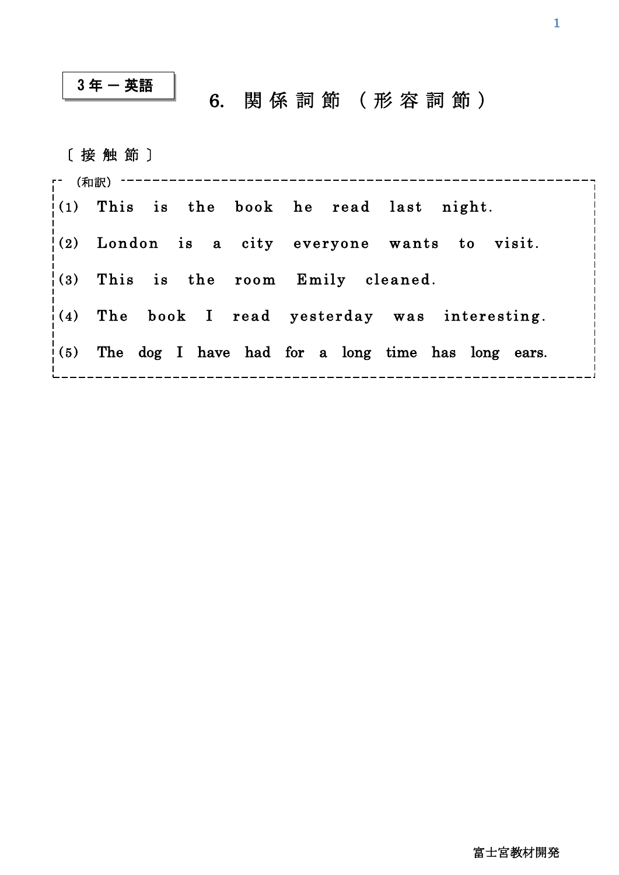## $3$ 年 - 英語

## \_|<br>\_| 6. 関 係 詞 節 (形 容 詞 節)

〔 接 触 節 〕

| <u>r (和訳) ------------------</u>         |  |                                                         |
|------------------------------------------|--|---------------------------------------------------------|
| (1) This is the book he read last night. |  |                                                         |
|                                          |  | $(2)$ London is a city everyone wants to visit.         |
| $(3)$ This is the room Emily cleaned.    |  |                                                         |
|                                          |  | $(4)$ The book I read yesterday was interesting.        |
|                                          |  | $(5)$ The dog I have had for a long time has long ears. |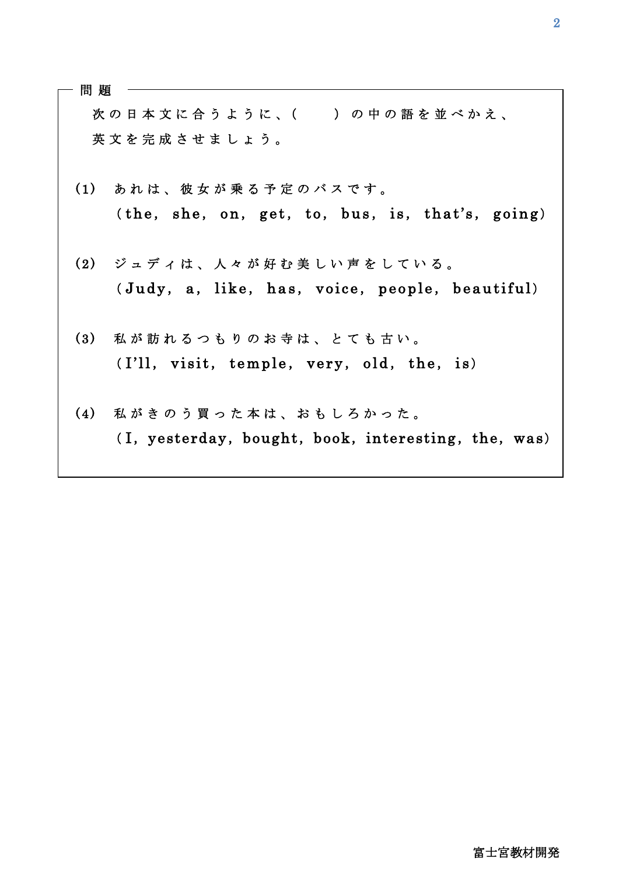| 問 題 |                                                     |
|-----|-----------------------------------------------------|
|     | 次の日本文に合うように、()の中の語を並べかえ、                            |
|     | 英文を完成させましょう。                                        |
|     | (1) あれは、彼女が乗る予定のバスです。                               |
|     | (the, she, on, get, to, bus, is, that's, going)     |
|     | (2) ジュディは、人々が好む美しい声をしている。                           |
|     | (Judy, a, like, has, voice, people, beautiful)      |
| (3) | 私が訪れるつもりのお寺は、とても古い。                                 |
|     | (I'll, visit, temple, very, old, the, is)           |
|     | (4) 私がきのう買った本は、おもしろかった。                             |
|     | (I, yesterday, bought, book, interesting, the, was) |
|     |                                                     |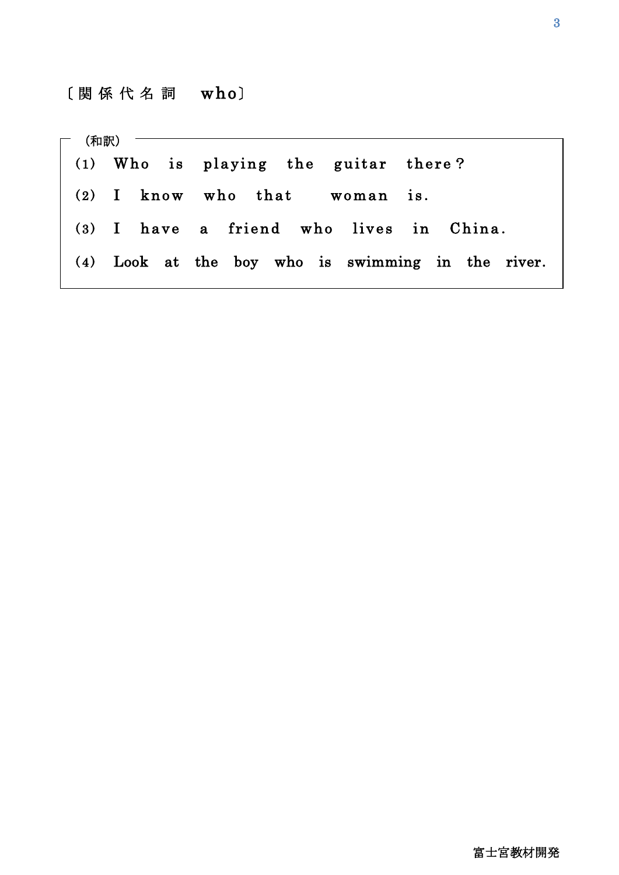$\overline{a}$ 

| $\begin{array}{ccc} \mathsf{m} & \mathsf{m} \mathsf{m} \mathsf{m} \mathsf{m} \end{array}$ |                                                   |  |
|-------------------------------------------------------------------------------------------|---------------------------------------------------|--|
|                                                                                           | $(1)$ Who is playing the guitar there?            |  |
|                                                                                           | $(2)$ I know who that woman is.                   |  |
|                                                                                           | (3) I have a friend who lives in China.           |  |
|                                                                                           | (4) Look at the boy who is swimming in the river. |  |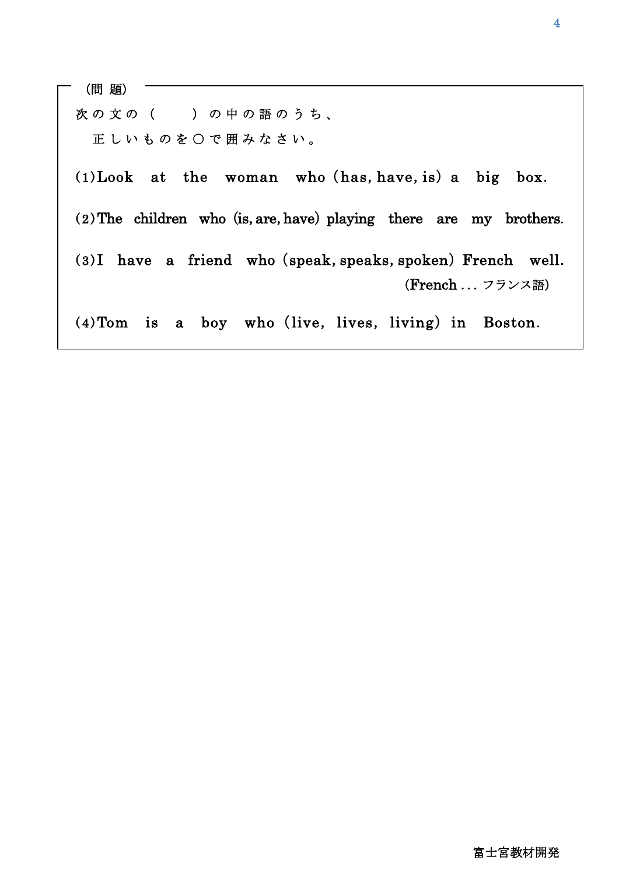次の文の ( )の中の語のうち、 正しいものを○で囲みなさい。  $(1)$ Look at the woman who (has, have, is) a big box.  $(2)$  The children who (is, are, have) playing there are my brothers.  $(3)$ I have a friend who (speak, speaks, spoken) French well.  $(4)$  Tom is a boy who (live, lives, living) in Boston. (問 題) (French ...フランス語)

Ϊ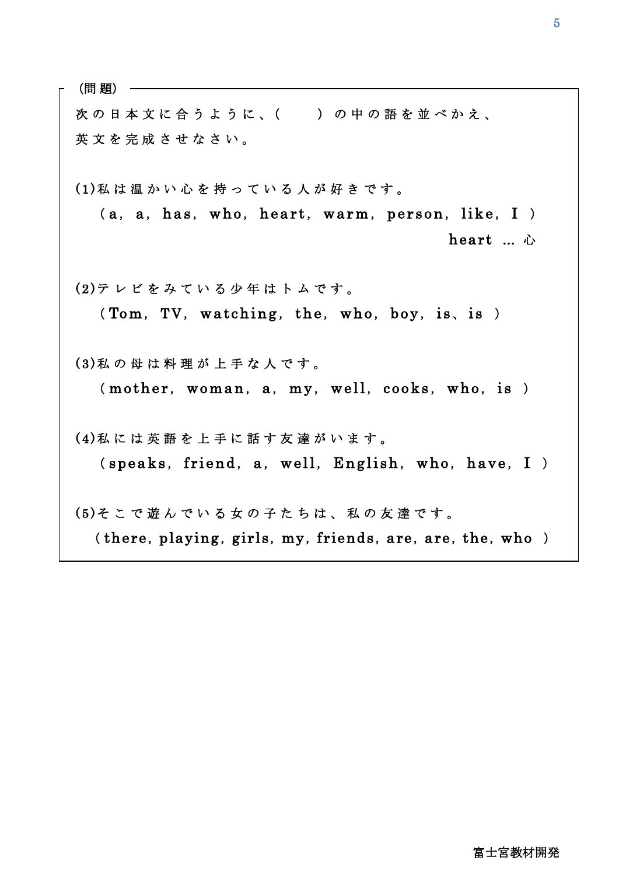(問 題)

Г<br>Г

 $\overline{\phantom{a}}$ 

 $\overline{\phantom{a}}$ 

 $\overline{\phantom{a}}$ 

 $\overline{\phantom{a}}$ 

 $\overline{\phantom{a}}$ 

 $\overline{\phantom{a}}$ 

L

次の日本文に合うように、( )の中の語を並べかえ、 英 文 を 完 成 さ せ な さ い 。

 ( 1 ) 私 は 温 か い 心 を 持 っ て い る 人 が 好 き で す 。  $(a, a, has, who, heart, warm, person, like, I)$ heart … 心

(2)テレビをみている少年はトムです。  $(Tom, TV, watching, the, who, boy, is, is)$ 

(3) 私の母は料理が上手な人です。  $(mother, woman, a, my, well, cooks, who, is)$ 

(4) 私 に は 英 語 を 上 手 に 話 す 友 達 が い ま す 。  $(s\text{peaks}, \text{friend}, a, well, English, who, have, I)$ 

(5)そこで遊んでいる女の子たちは、私の友達です。 (there, playing, girls, my, friends, are, are, the, who )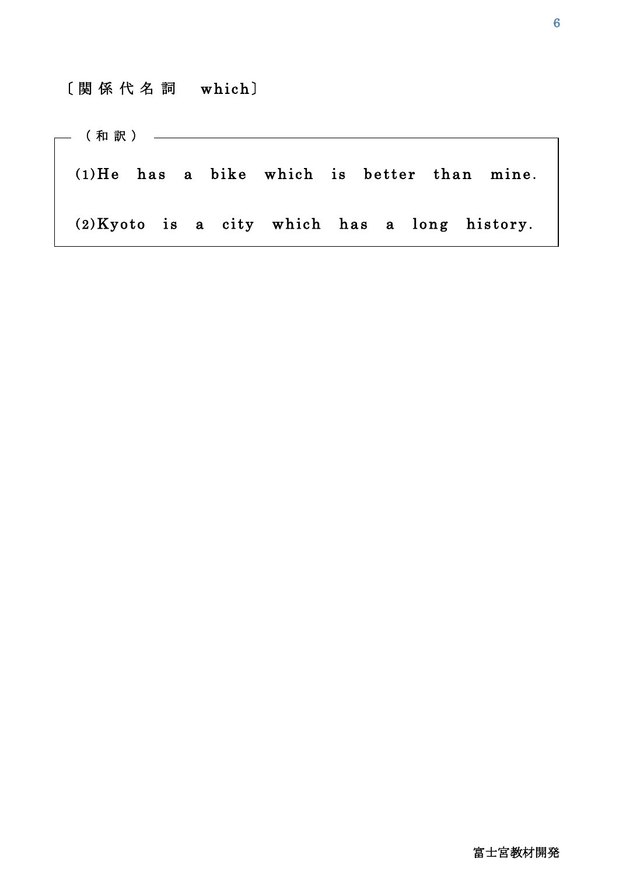## [関 係 代 名 詞 which]

ֺ

 $(1)$ He has a bike which is better than mine.  $(2)$ Kyoto is a city which has a long history. (和 訳 )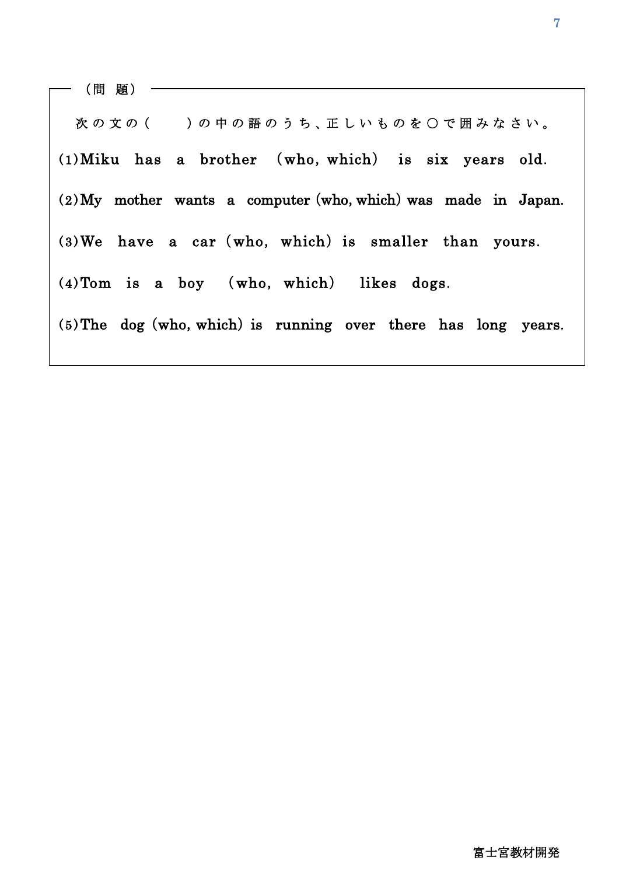1

次の文の ()の中の語のうち、正しいものを〇で囲みなさい。  $(1)$ Miku has a brother  $(who, which)$  is six years old.  $(2)$  My mother wants a computer (who, which) was made in Japan.  $(3)$ We have a car (who, which) is smaller than yours.  $(4)$  Tom is a boy (who, which) likes dogs.  $(5)$ The dog (who, which) is running over there has long years.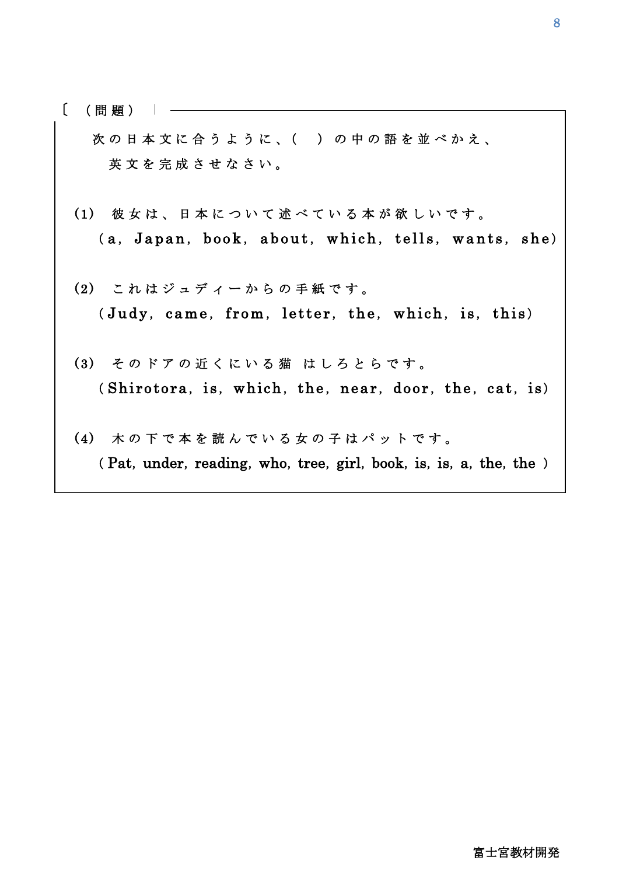$\lceil$ ( 問 題 )

 $\overline{a}$ 

次の日本文に合うように、()の中の語を並べかえ、 英文を完成させなさい。

- (1) 彼女は、日本について述べている本が欲しいです。 (a, Japan, book, about, which, tells, wants, she)
- (2) これはジュディーからの手紙です。 ( Judy, came, from, letter, the, which, is, this)
- (3) そのドアの近くにいる猫 はしろとらです。  $(Shirotora, is, which, the, near, door, the, cat, is)$
- (4) 木の下で本を読んでいる女の子はパットです。 ( Pat, under, reading, who, tree, girl, book, is, is, a, the, the )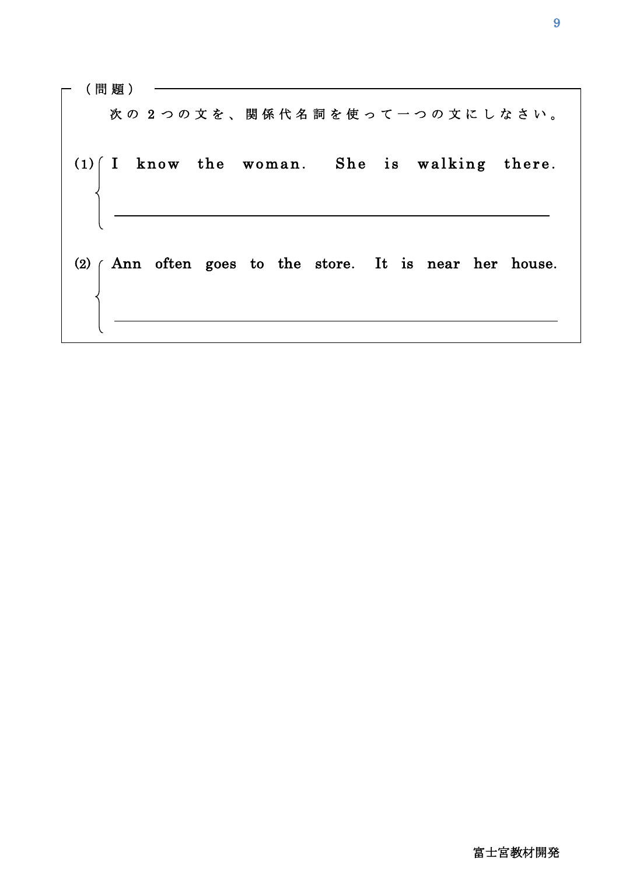(間 題 ) –– 次の2つの文を、関係代名詞を使って一つの文にしなさい。  $(1)$  I know the woman. She is walking there. (2)  $\int$  Ann often goes to the store. It is near her house. 

 $\overline{1}$ 

 $\overline{\phantom{a}}$ 

 $\overline{\phantom{a}}$ 

 $\overline{\phantom{a}}$ 

 $\overline{\phantom{a}}$ 

 $\overline{\phantom{a}}$ 

 $\overline{\phantom{a}}$ 

 $\overline{\phantom{a}}$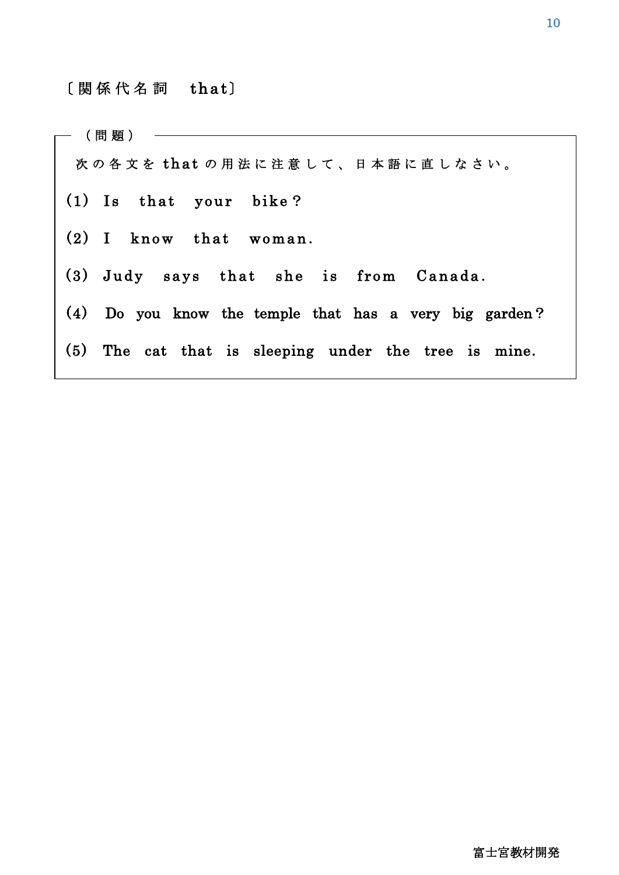## 〔 関 係 代 名 詞 that〕

L

次の各文を that の用法に注意して、日本語に直しなさい。  $(1)$  Is that your bike?  $(2)$  I know that woman.  $(3)$  Judy says that she is from Canada. (4) Do you know the temple that has a very big garden? (5) The cat that is sleeping under the tree is mine. ( 問 題 )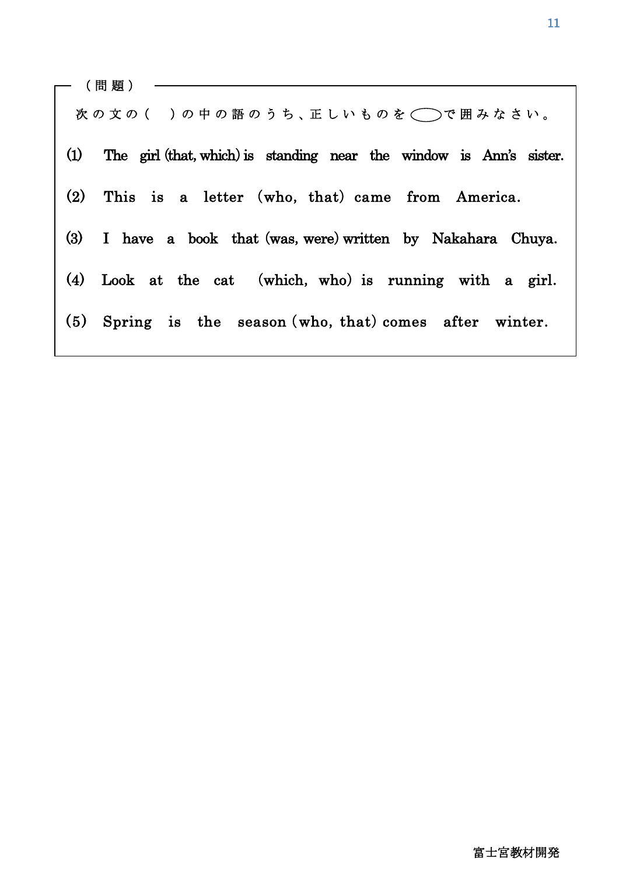次の文の()の中の語のうち、正しいものを◯◯で囲みなさい。 (1) The girl (that, which) is standing near the window is Ann's sister. (2) This is a letter (who, that) came from America. (3) I have a book that (was, were) written by Nakahara Chuya. (4) Look at the cat (which, who) is running with a girl. (5) Spring is the season (who, that) comes after winter. ( 問 題 )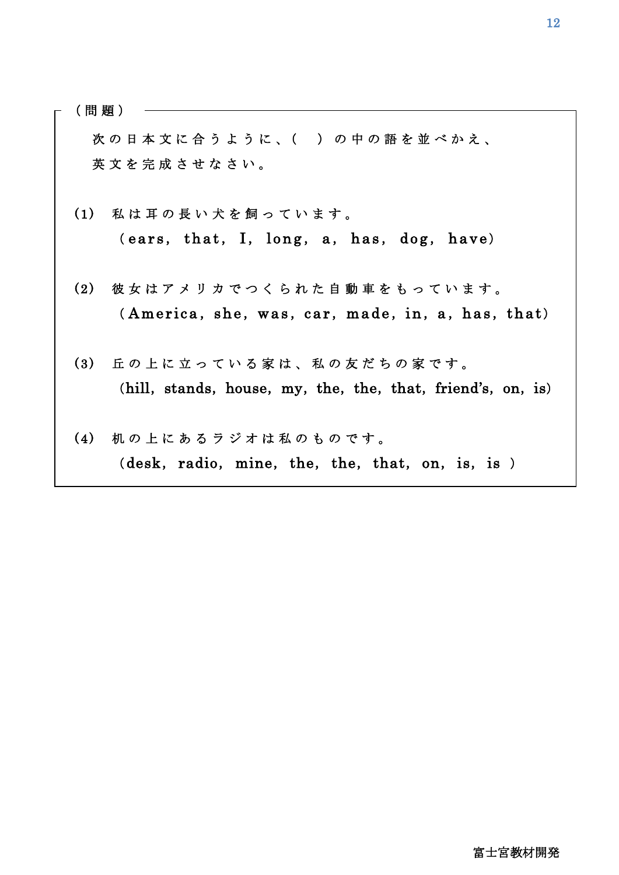( 問 題 )

Ī.

I

次の日本文に合うように、()の中の語を並べかえ、 英 文 を 完 成 さ せ な さ い 。

- (1) 私は耳の長い犬を飼っています。 ( ears, that, I, long, a, has, dog, have)
- (2) 彼女はアメリカでつくられた自動車をもっています。  $(A$  m erica, she, was, car, made, in, a, has, that)
- (3) 丘の上に立っている家は、私の友だちの家です。 (hill, stands, house, my, the, the, that, friend's, on, is)
- (4) 机の上にあるラジオは私のものです。  $(desk, radio, mine, the, the, that, on, is, is)$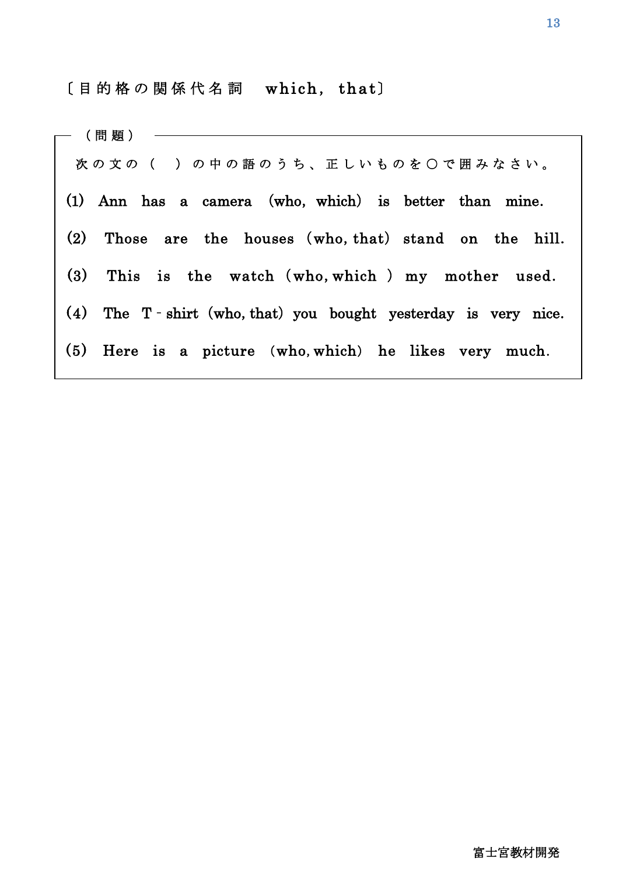〔 目 的 格 の 関 係 代 名 詞 which, that〕

| 次の文の()の中の語のうち、正しいものを〇で囲みなさい。                                       |
|--------------------------------------------------------------------|
| (1) Ann has a camera (who, which) is better than mine.             |
| (2)<br>Those are the houses (who, that) stand on the hill.         |
| (3)<br>This is the watch (who, which) my mother used.              |
| $(4)$ The T - shirt (who, that) you bought yesterday is very nice. |
| (5) Here is a picture (who, which) he likes very much.             |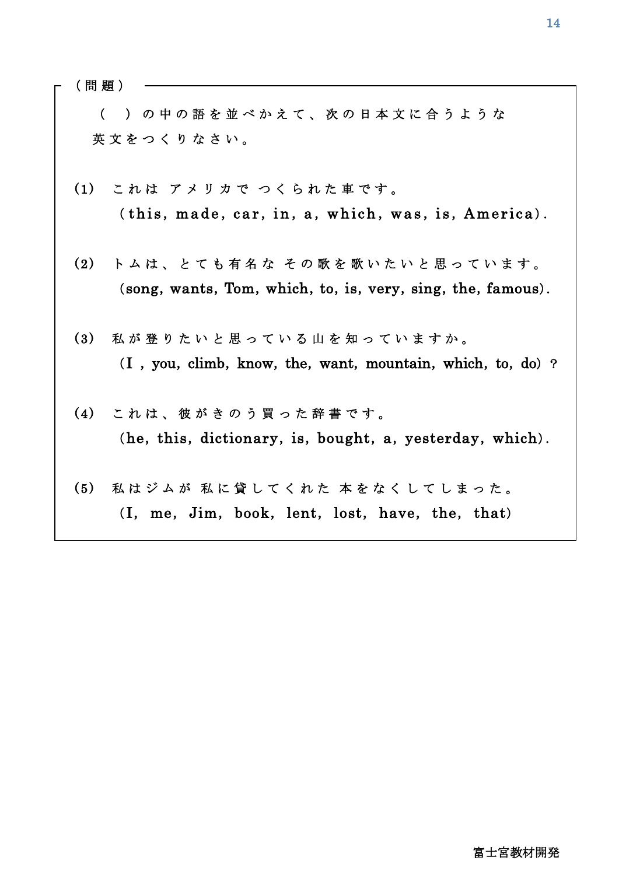( 問 題 )

Ī.

l

 ( ) の 中 の 語 を 並 べ か え て 、 次 の 日 本 文 に 合 う よ う な 英文をつくりなさい。

- (1) これは アメリカで つくられた車です。  $(\text{this}, \text{made}, \text{car}, \text{in}, \text{a}, \text{which}, \text{was}, \text{is}, \text{America}).$
- (2) トムは、とても有名な その歌を歌いたいと思っています。 (song, wants, Tom, which, to, is, very, sing, the, famous).
- (3) 私が登りたいと思っている山を知っていますか。  $(I, you, climb, know, the, want, mountain, which, to, do)$ ?
- (4) これは、彼がきのう買った辞書です。  $(he, this, dictionary, is, bought, a, yesterday, which).$
- (5) 私はジムが 私に貸してくれた 本をなくしてしまった。 (I, me, Jim, book, lent, lost, have, the, that)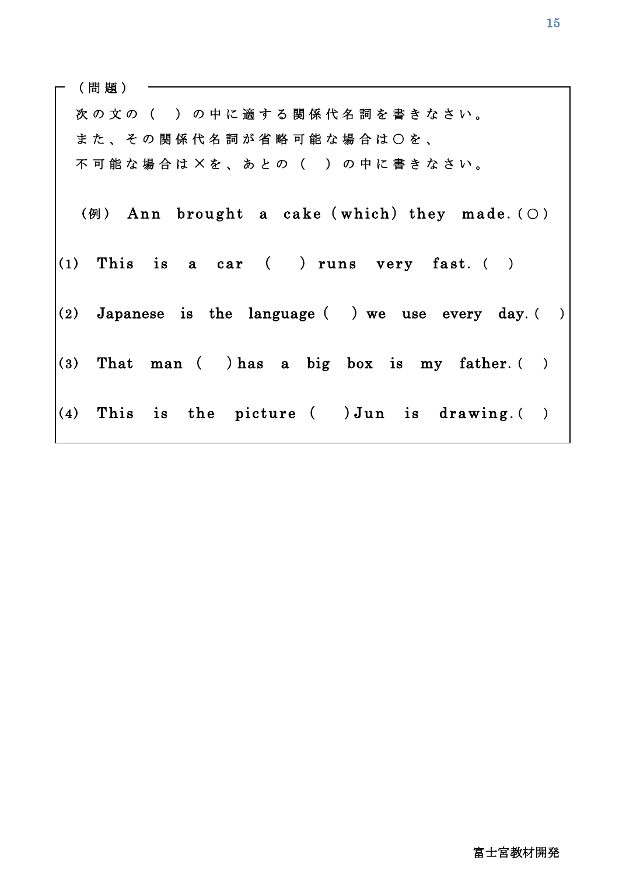| (問題) |  |  |                                             |  |  |  |  |  |  |  |  |                                                 |  |                                                            |  |
|------|--|--|---------------------------------------------|--|--|--|--|--|--|--|--|-------------------------------------------------|--|------------------------------------------------------------|--|
|      |  |  | 次の文の( )の中に適する関係代名詞を書きなさい。                   |  |  |  |  |  |  |  |  |                                                 |  |                                                            |  |
|      |  |  | ま た 、 そ の 関 係 代 名 詞 が 省 略 可 能 な 場 合 は 〇 を 、 |  |  |  |  |  |  |  |  |                                                 |  |                                                            |  |
|      |  |  | 不可能な場合は×を、あとの()の中に書きなさい。                    |  |  |  |  |  |  |  |  |                                                 |  |                                                            |  |
|      |  |  |                                             |  |  |  |  |  |  |  |  |                                                 |  | (例) Ann brought a cake (which) they made. ( $\bigcirc$ )   |  |
|      |  |  |                                             |  |  |  |  |  |  |  |  | $(1)$ This is a car $($ ) runs very fast. $($ ) |  |                                                            |  |
|      |  |  |                                             |  |  |  |  |  |  |  |  |                                                 |  | (2) Japanese is the language $($ ) we use every day. $($ ) |  |
|      |  |  |                                             |  |  |  |  |  |  |  |  |                                                 |  | (3) That man (b) has a big box is my father. ()            |  |
|      |  |  |                                             |  |  |  |  |  |  |  |  |                                                 |  | $(4)$ This is the picture $($ ) Jun is drawing. $($ )      |  |